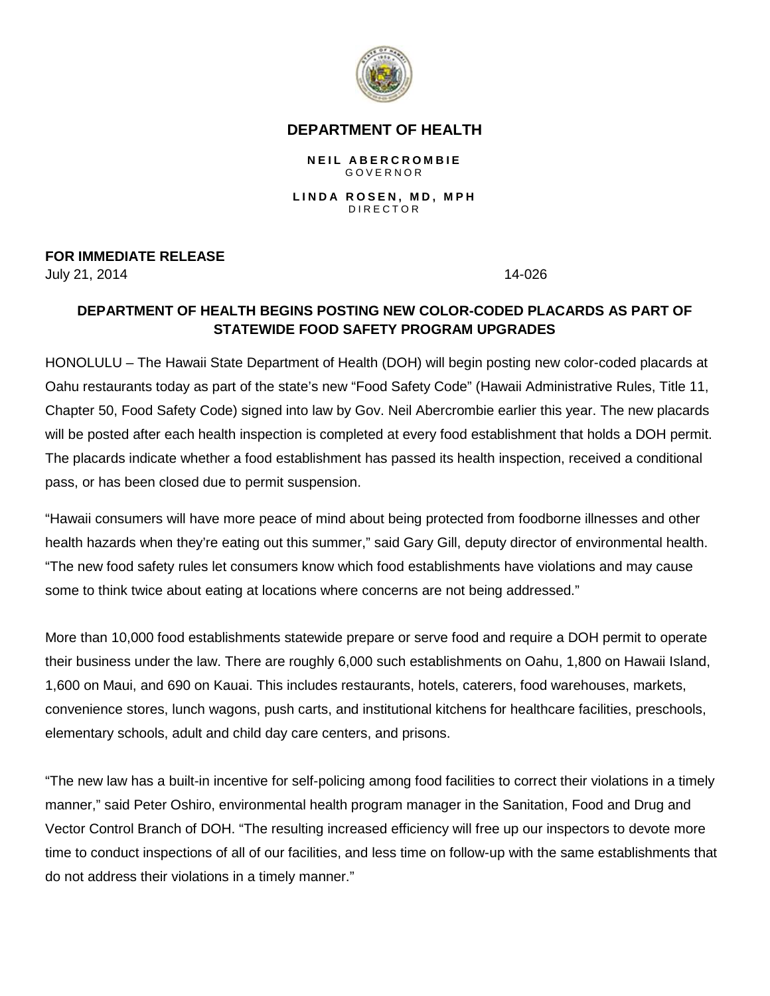

## **DEPARTMENT OF HEALTH**

**NEIL ABERCROMBIE** GOVERNOR

**LINDA ROSEN, MD, MPH** DIRECTOR

**FOR IMMEDIATE RELEASE**

July 21, 2014 14-026

## **DEPARTMENT OF HEALTH BEGINS POSTING NEW COLOR-CODED PLACARDS AS PART OF STATEWIDE FOOD SAFETY PROGRAM UPGRADES**

HONOLULU – The Hawaii State Department of Health (DOH) will begin posting new color-coded placards at Oahu restaurants today as part of the state's new "Food Safety Code" (Hawaii Administrative Rules, Title 11, Chapter 50, Food Safety Code) signed into law by Gov. Neil Abercrombie earlier this year. The new placards will be posted after each health inspection is completed at every food establishment that holds a DOH permit. The placards indicate whether a food establishment has passed its health inspection, received a conditional pass, or has been closed due to permit suspension.

"Hawaii consumers will have more peace of mind about being protected from foodborne illnesses and other health hazards when they're eating out this summer," said Gary Gill, deputy director of environmental health. "The new food safety rules let consumers know which food establishments have violations and may cause some to think twice about eating at locations where concerns are not being addressed."

More than 10,000 food establishments statewide prepare or serve food and require a DOH permit to operate their business under the law. There are roughly 6,000 such establishments on Oahu, 1,800 on Hawaii Island, 1,600 on Maui, and 690 on Kauai. This includes restaurants, hotels, caterers, food warehouses, markets, convenience stores, lunch wagons, push carts, and institutional kitchens for healthcare facilities, preschools, elementary schools, adult and child day care centers, and prisons.

"The new law has a built-in incentive for self-policing among food facilities to correct their violations in a timely manner," said Peter Oshiro, environmental health program manager in the Sanitation, Food and Drug and Vector Control Branch of DOH. "The resulting increased efficiency will free up our inspectors to devote more time to conduct inspections of all of our facilities, and less time on follow-up with the same establishments that do not address their violations in a timely manner."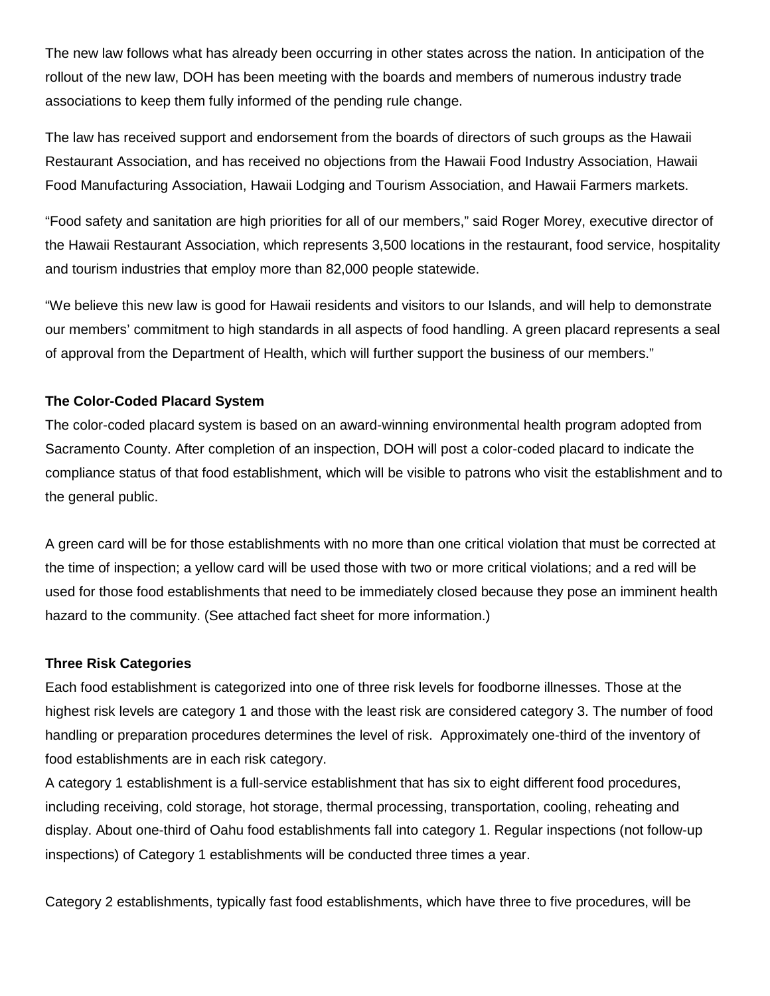The new law follows what has already been occurring in other states across the nation. In anticipation of the rollout of the new law, DOH has been meeting with the boards and members of numerous industry trade associations to keep them fully informed of the pending rule change.

The law has received support and endorsement from the boards of directors of such groups as the Hawaii Restaurant Association, and has received no objections from the Hawaii Food Industry Association, Hawaii Food Manufacturing Association, Hawaii Lodging and Tourism Association, and Hawaii Farmers markets.

"Food safety and sanitation are high priorities for all of our members," said Roger Morey, executive director of the Hawaii Restaurant Association, which represents 3,500 locations in the restaurant, food service, hospitality and tourism industries that employ more than 82,000 people statewide.

"We believe this new law is good for Hawaii residents and visitors to our Islands, and will help to demonstrate our members' commitment to high standards in all aspects of food handling. A green placard represents a seal of approval from the Department of Health, which will further support the business of our members."

### **The Color-Coded Placard System**

The color-coded placard system is based on an award-winning environmental health program adopted from Sacramento County. After completion of an inspection, DOH will post a color-coded placard to indicate the compliance status of that food establishment, which will be visible to patrons who visit the establishment and to the general public.

A green card will be for those establishments with no more than one critical violation that must be corrected at the time of inspection; a yellow card will be used those with two or more critical violations; and a red will be used for those food establishments that need to be immediately closed because they pose an imminent health hazard to the community. (See attached fact sheet for more information.)

### **Three Risk Categories**

Each food establishment is categorized into one of three risk levels for foodborne illnesses. Those at the highest risk levels are category 1 and those with the least risk are considered category 3. The number of food handling or preparation procedures determines the level of risk. Approximately one-third of the inventory of food establishments are in each risk category.

A category 1 establishment is a full-service establishment that has six to eight different food procedures, including receiving, cold storage, hot storage, thermal processing, transportation, cooling, reheating and display. About one-third of Oahu food establishments fall into category 1. Regular inspections (not follow-up inspections) of Category 1 establishments will be conducted three times a year.

Category 2 establishments, typically fast food establishments, which have three to five procedures, will be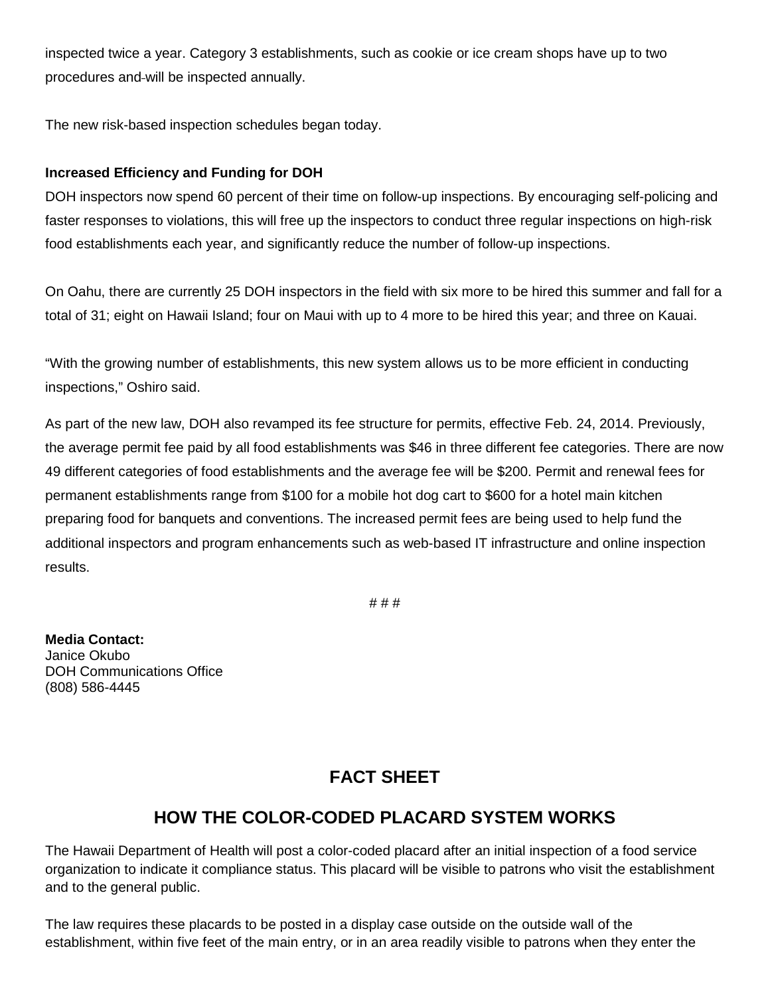inspected twice a year. Category 3 establishments, such as cookie or ice cream shops have up to two procedures and-will be inspected annually.

The new risk-based inspection schedules began today.

### **Increased Efficiency and Funding for DOH**

DOH inspectors now spend 60 percent of their time on follow-up inspections. By encouraging self-policing and faster responses to violations, this will free up the inspectors to conduct three regular inspections on high-risk food establishments each year, and significantly reduce the number of follow-up inspections.

On Oahu, there are currently 25 DOH inspectors in the field with six more to be hired this summer and fall for a total of 31; eight on Hawaii Island; four on Maui with up to 4 more to be hired this year; and three on Kauai.

"With the growing number of establishments, this new system allows us to be more efficient in conducting inspections," Oshiro said.

As part of the new law, DOH also revamped its fee structure for permits, effective Feb. 24, 2014. Previously, the average permit fee paid by all food establishments was \$46 in three different fee categories. There are now 49 different categories of food establishments and the average fee will be \$200. Permit and renewal fees for permanent establishments range from \$100 for a mobile hot dog cart to \$600 for a hotel main kitchen preparing food for banquets and conventions. The increased permit fees are being used to help fund the additional inspectors and program enhancements such as web-based IT infrastructure and online inspection results.

# # #

**Media Contact:** Janice Okubo DOH Communications Office (808) 586-4445

# **FACT SHEET**

# **HOW THE COLOR-CODED PLACARD SYSTEM WORKS**

The Hawaii Department of Health will post a color-coded placard after an initial inspection of a food service organization to indicate it compliance status. This placard will be visible to patrons who visit the establishment and to the general public.

The law requires these placards to be posted in a display case outside on the outside wall of the establishment, within five feet of the main entry, or in an area readily visible to patrons when they enter the